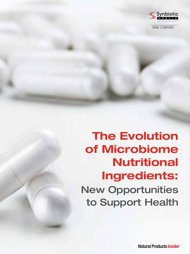

PAID CONTENT

# The Evolution of Microbiome **Nutritional** Ingredients: New Opportunities to Support Health

**Natural Products Insider**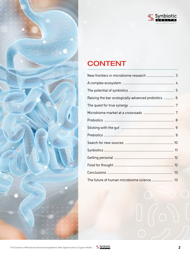

## **CONTENT**

| Raising the bar ecologically-advanced probiotics  6 |  |
|-----------------------------------------------------|--|
|                                                     |  |
|                                                     |  |
|                                                     |  |
|                                                     |  |
|                                                     |  |
|                                                     |  |
|                                                     |  |
|                                                     |  |
|                                                     |  |
|                                                     |  |
| The future of human microbiome science  13          |  |

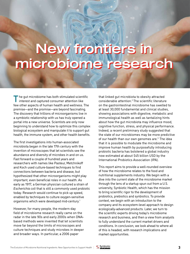### <span id="page-2-0"></span>New frontiers in microbiome research New frontiers in microbiome research

the gut microbiome has both stimulated scientific interest and captured consumer attention like few other aspects of human health and wellness. The premise—and the promise—are beyond fascinating. The discovery that trillions of microorganisms live in a symbiotic relationship with us has truly opened a portal into a new universe. Scientists are only now beginning to understand how to optimize this complex biological ecosystem and manipulate it to support gut health, the immune system, and other health benefits.

The first investigations into human-associated microbiota began in the late 17th century with the invention of microscopes that let scientists see the abundance and diversity of microbes in and on us. Fast forward a couple of hundred years and researchers with names like Pasteur, Metchnikoff and Koch used culture-based techniques to find connections between bacteria and disease, but hypothesized that other microorganisms might play important, even beneficial roles in our health. As early as 1917, a German physician cultured a strain of *Escherichia coli* that is still a commonly used probiotic today. Research would continue to pick up speed, enabled by techniques to culture oxygen-sensitive organisms which were developed mid-century.1

However, for many people, the modern-day field of microbiome research really came on the radar in the late 90s and early 2000s when DNAbased methods were invented that let scientists move far beyond the limits of microscopes and culture techniques and study microbes in deeper and broader ways. In particular, a 2006 paper

that linked gut microbiota to obesity attracted considerable attention.<sup>2</sup> The scientific literature on the gastrointestinal microbiome has swelled to at least 30,000 fundamental and clinical studies, showing associations with digestive, metabolic and immunological health as well as tantalizing hints about how the gut microbiota may influence mood, cognitive function, stress, and physical performance. Indeed, a recent preliminary study suggested that the state of our microbiomes may be more predictive of our health than our own genomes are. $3$  The idea that it is possible to modulate the microbiome and improve human health by purposefully introducing probiotic bacteria has bolstered a global industry now estimated at about \$45 billion USD by the International Probiotics Association (IPA).

This report aims to provide a well-rounded overview of how the microbiome relates to the food and nutritional supplements industry. We begin with a dive into the current state of the microbiome market through the lens of a startup spun out from a U.S. university, Synbiotic Health, which has the mission to bring scientific rigor to the development of probiotics, prebiotics and synbiotics. To provide context, we begin with an introduction to the company and its ecosystem-level approach to design ecologically-advanced products. Later, we turn to the scientific experts driving today's microbiome research and business, and then a view from analysts to fully understand the current market drivers and conditions. In conclusion, we look ahead to where all of this is headed, with research implications and market opportunities.

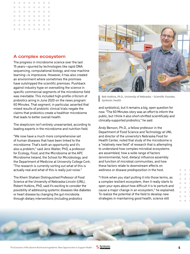<span id="page-3-0"></span>

#### A complex ecosystem

The progress in microbiome science over the last 15 years—spurred by technologies like rapid DNA sequencing, computational biology, and now machine learning—is impressive. However, it has also created an environment where sometimes the promises have outstripped the scientific premises. Pushback against industry hype on overselling the science in specific commercial segments of the microbiome field was inevitable. This included high-profile criticism of probiotics airing in June 2020 on the news program 60 Minutes. That segment, in particular, asserted that mixed results of probiotic clinical trials negate the claims that probiotics create a healthier microbiome that leads to better overall health.

The skepticism isn't entirely unwarranted, according to leading experts in the microbiome and nutrition field.

"We now have a much more comprehensive set of human diseases that have been linked to the microbiome. That's both an opportunity and it's also a problem," said Jens Walter, PhD, a professor for Ecology, Food, and the Microbiome at the APC Microbiome Ireland, the School for Microbiology, and the Department of Medicine at University College Cork. "The research is currently sorting out what of this is actually real and what of this is really just noise."

The Khem Shahani Distinguished Professor of Food Science at the University of Nebraska-Lincoln (UNL), Robert Hutkins, PhD, said it's exciting to consider the possibility of addressing systemic diseases like diabetes or heart disease by changing the gut microbiota through dietary interventions (including probiotics



Bob Hutkins, Ph.D., University of Nebraska – Scientific Founder, Synbiotic Health

and synbiotics), but it remains a big, open question for now. "The 60 Minutes story was an effort to inform the public, but I think it also short-shrifted scientifically and clinically-supported probiotics," he said.

Andy Benson, Ph.D., a fellow professor in the Department of Food Science and Technology at UNL and director of the university's Nebraska Food for Health Center, noted that study of the microbiome is a "relatively new field" of research that is attempting to understand how complex microbial ecosystems are assembled, how a wide range of factors (environmental, host, dietary) influence assembly and function of microbial communities, and how these factors relate to downstream effects on wellness or disease predisposition in the host.

"I think when you start putting it into those terms, as a complex resilient ecosystem, then it really starts to open your eyes about how difficult it is to perturb and cause a major change in an ecosystem," he explained. To realize the potential of the field to develop new strategies in maintaining good health, science still



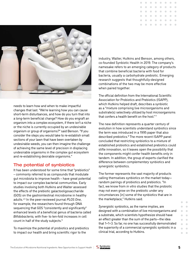

<span id="page-4-0"></span>

needs to learn how and when to make impactful changes that last. "We're learning how you can cause short-term disturbances, and how do you turn that into a long-term beneficial change? How do you engraft an organism into a complex ecosystem, if there isn't a niche or the niche is currently occupied by an undesirable organism or group of organisms?" said Benson. "If you consider the steps you would take to re-establish small sections of your lawn that have been overtaken by undesirable weeds, you can then imagine the challenge of achieving the same level of precision in displacing undesirable organisms in the complex gut ecosystem and re-establishing desirable organisms."

#### The potential of synbiotics

It has been understood for some time that "prebiotics" – commonly referred to as compounds that modulate gut microbiota to improve health – have great potential to impact our complex bacterial communities. Early studies involving both Hutkins and Walter assessed the effects of the prebiotic galactooligosaccharide (GOS) on the gastrointestinal microbiome in healthy adults.4,5 In the peer-reviewed journal *PLOS One*, for example, the researchers found through DNA sequencing that GOS "consistently and significantly" enhanced levels of a beneficial genus of bacteria called *Bifidobacteria*, with five- to ten-fold increases in cell count in half of the study subjects.6

To maximize the potential of probiotics and prebiotics to impact our health and bring scientific rigor to the

industry, Walter, Hutkins and Benson, among others, co-founded Synbiotic Health in 2019. The company's namesake refers to an emerging category of products that combine beneficial bacteria with food for bacteria, usually a carbohydrate prebiotic. Emerging research suggests that thoughtfully-designed combinations of the two may be more effective when paired together.

The official definition from the International Scientific Association for Probiotics and Prebiotics (ISAPP), which Hutkins helped draft, describes a synbiotic as a "mixture comprising live microorganisms and substrate(s) selectively utilized by host microorganisms that confers a health benefit on the host." $7$ 

The new definition represents a quarter century of evolution in how scientists understand synbiotics since the term was introduced in a 1995 paper that also described prebiotics.<sup>8</sup> The more recent ISAPP panel concluded that restricting synbiotics to a mixture of established probiotics and established prebiotics could stifle innovation, so it leaves open the possibility that the components might confer health benefits only in tandem. In addition, the group of experts clarified the difference between *complementary* synbiotics and *synergistic* synbiotics.

The former represents the vast majority of products calling themselves synbiotics on the market today random pairings of probiotics and prebiotics. "In fact, we know from *in vitro* studies that the probiotic may not even grow on the prebiotic under any circumstances [in] some of the synbiotics that are in the marketplace," Hutkins said.

*Synergistic* synbiotics, as the name implies, are designed with a combination of live microorganisms and a substrate, which scientists hypothesize should have an effect greater than the sum of the parts—the idea that 1+1=3. So far, no one has successfully demonstrated the superiority of a commercial synergistic synbiotic in a clinical trial, according to Hutkins.



 $\sqrt{2}$  $\overline{\phantom{a}}$  $\blacksquare$  $\overline{\phantom{a}}$ 

 $\overline{\phantom{a}}$  $\begin{array}{c} \begin{array}{c} \begin{array}{c} \begin{array}{c} \end{array} \end{array} \end{array} \end{array} \end{array}$  $\bullet$  $\overline{\phantom{a}}$  $\sim$  $\overline{\phantom{a}}$  $\overline{\phantom{a}}$  $\sim$  $\bullet$  $\blacksquare$  $\bullet$  $\blacksquare$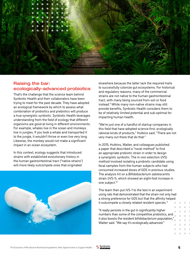<span id="page-5-0"></span>

#### Raising the bar: ecologically-advanced probiotics

That's the challenge that the science team behind Synbiotic Health and their collaborators have been trying to meet for the past decade. They have adopted an ecological framework by which to assess what combination of probiotics and prebiotics will produce a true synergistic synbiotic. Synbiotic Health leverages understanding from the field of ecology that different organisms are good at living in different environments. For example, whales live in the ocean and monkeys live in jungles. If you took a whale and transported it to the jungle, it wouldn't thrive or even live very long. Likewise, the monkey would not make a significant impact in an ocean ecosystem.

In this context, ecology suggests that introduced strains with established evolutionary history in the human gastrointestinal tract ("native strains") will more likely outcompete ones that originated



elsewhere because the latter lack the required traits to successfully colonize gut ecosystems. For historical and regulatory reasons, many of the commercial strains are not native to the human gastrointestinal tract, with many being sourced from soil or food instead.9 While many non-native strains may still provide benefits, Synbiotic Health considers them to be of relatively limited potential and sub-optimal for impacting human health.

"We're just one of a handful of startup companies in this field that have adopted science-first, ecologically rational kinds of products," Hutkins said. "There are not very many out there that do that."

In 2015, Hutkins, Walter, and colleagues published a paper that described a "novel method" to find an appropriate probiotic strain in order to design a synergistic synbiotic. The *in vivo* selection (iVS) method involved isolating a probiotic candidate using fecal samples from the human subjects who had consumed increased doses of GOS in previous studies. The analysis hit on a *Bifidobacterium adolescentis* strain (iVS-1), which showed an eight-fold increase in one subject.10

The team then put iVS-1 to the test in an experiment using rats that demonstrated that the strain not only had a strong preference for GOS but that the affinity helped it outcompete a closely related resident species.<sup>11</sup>

"It really persists in the gut in significantly higher numbers than some of the competitive probiotics, and it also boosts the resident bifidobacterium population," Walter said. "We say it's ecologically advanced."

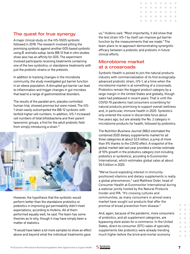

#### <span id="page-6-0"></span>The quest for true synergy

A major clinical study on the iVS-1/GOS synbiotic followed in 2018. The research involved pitting the promising synbiotic against another GOS-based synbiotic using *B. animalis* subsp. *lactis* BB-12 that *in vitro* studies show also has an affinity for GOS. The experiment involved participants receiving treatments containing one of the two synbiotics, or standalone treatments with just the probiotic strains or the prebiotic.

In addition to tracking changes in the microbiota community, the study investigated gut barrier function in an obese population. A disrupted gut barrier can lead to inflammation and trigger changes in gut microbes that lead to a range of gastrointestinal disorders.

The results of the parallel-arm, placebo-controlled human trial, showed promise but were mixed. The iVS-1 strain easily outcompeted the BB-12 synbiotic with tenfold higher cell numbers. In addition, iVS-1 increased cell numbers of total bifidobacteria and their parent taxonomic groups, a first for the adult probiotic field from simply introducing a strain.<sup>12</sup>



However, the hypothesis that the synbiotic would perform better than the standalone probiotics or prebiotics in improving gut permeability didn't meet expectations, according to Hutkins. All of them performed equally well, he said. The team has some theories as to why, though it may have simply been a matter of statistics.

"It would have taken a lot more samples to show an effect above and beyond what the individual treatments gave

us," Hutkins said. "Most importantly, it did show that the test strain iVS-1 by itself can improve gut barrier function by the measurements that we made." The team plans to re-approach demonstrating synergistic efficacy between a prebiotic and probiotic in future clinical efforts.

#### Microbiome market at a crossroads

Synbiotic Health is poised to join the natural products industry with commercialization of its first ecologicallyadvanced probiotic strain, iVS-1, at a time when the microbiome market is at something of a crossroads. Probiotics remain the biggest product category by a large margin in the United States and globally, though sales had plateaued in recent years. That is until the COVID-19 pandemic had consumers scrambling for natural products promising to support overall wellness and, in particular, immune health in 2020. Synbiotics only entered the scene in discernible force about five years ago, but are already the No. 2 category in microbiome products for health, followed by prebiotics.

The *Nutrition Business Journal* (NBJ) estimated the combined 2020 dietary supplements market for all three categories at about \$2.6 billion, a jump of more than 9% thanks to the COVID effect. A snapshot of the global market late last year provided a similar estimate of 10% growth in the probiotics category (not including prebiotics or synbiotics), according to Euromonitor International, which estimates global sales at about \$6.5 billion in 2020.

"We've found exploding interest in immunitypositioned vitamins and dietary supplements is really a global phenomenon," said Matthew Oster, head of Consumer Health at Euromonitor International during a webinar jointly hosted by the Natural Products Insider and IPA. "It's crossing cultures and communities, as many consumers in almost every market have sought out products that offer the promise of broad prevention from disease."

And, again, because of the pandemic, more consumers of probiotics, and all supplement categories, are bypassing store aisles for e-commerce. In the United States, direct-to-consumer (DTC) sales of specialty supplements like probiotics were already trending much higher before the brick-and-mortar economy



 $\bigcirc$  $\begin{array}{c} \begin{array}{c} \begin{array}{c} \begin{array}{c} \end{array} \end{array} \end{array} \end{array} \end{array}$  $\begin{array}{c} \begin{array}{c} \begin{array}{c} \begin{array}{c} \end{array} \end{array} \end{array} \end{array} \end{array}$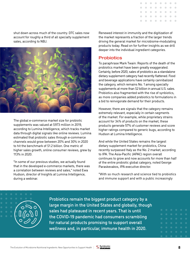<span id="page-7-0"></span>shut down across much of the country. DTC sales now account for roughly a third of all specialty supplement sales, according to NBJ.



The global e-commerce market size for probiotic supplements was valued at \$973 million in 2019, according to Lumina Intelligence, which tracks market data through digital signals like online reviews. Lumina estimated that probiotic sales through e-commerce channels would grow between 20% and 30% in 2020 to hit the benchmark of \$1.2 billion. One metric of higher sales growth, online consumer reviews, grew by 113% in 2020.

"In some of our previous studies, we actually found that in the developed e-commerce markets, there was a correlation between reviews and sales," noted Ewa Hudson, director of Insights at Lumina Intelligence, during a webinar.

Renewed interest in immunity and the digitization of the market represents a fraction of the larger trends driving the general market for microbiome-modulating products today. Read on for further insights as we drill deeper into the individual ingredient categories.

#### **Probiotics**

To paraphrase Mark Twain: Reports of the death of the probiotics market have been greatly exaggerated. Certainly, before 2020, sales of probiotics as a standalone dietary supplement category had recently flattened. Food and beverage applications have certainly cannibalized the category, which remains No. 1 among specialty supplements at more than \$2 billion in annual U.S. sales. Probiotics also fragmented with the rise of synbiotics, as more companies added prebiotics to formulations in a bid to reinvigorate demand for their products.

However, there are signals that the category remains extremely relevant, especially in certain segments of the market. For example, while proprietary strains account for 34% of products on the market, these products generate 57% of customer reviews and score higher ratings compared to generic bugs, according to Hudson at Lumina Intelligence.

And while the United States remains the largest dietary supplement market for probiotics, China recently surpassed Italy as the No. 2 market, according to IPA. The Asia-Pacific (APAC) region overall continues to grow and now accounts for more than half of the entire probiotic global category, noted George Paraskevakos, IPA executive director.

"With so much research and science tied to probiotics and immune support and with a public increasingly



Probiotics remain the biggest product category by a large margin in the United States and globally, though sales had plateaued in recent years. That is until the COVID-19 pandemic had consumers scrambling for natural products promising to support overall wellness and, in particular, immune health in 2020.

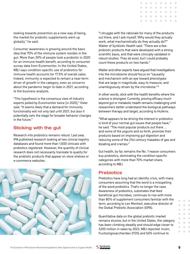$\begin{array}{c} \begin{array}{c} \begin{array}{c} \begin{array}{c} \end{array} \end{array} \end{array} \end{array} \end{array}$  $\triangle$  $\begin{array}{c} \begin{array}{c} \begin{array}{c} \begin{array}{c} \end{array} \end{array} \end{array} \end{array} \end{array}$  $\bigcirc$  $\blacksquare$  $\begin{array}{c} \begin{array}{c} \begin{array}{c} \begin{array}{c} \end{array} \end{array} \end{array} \end{array} \end{array}$  $\begin{array}{c} \begin{array}{c} \begin{array}{c} \begin{array}{c} \end{array} \end{array} \end{array} \end{array} \end{array}$  $\blacksquare$  $\blacksquare$  $\sqrt{2}$ 

<span id="page-8-0"></span>looking towards prevention as a new way of being, the market for probiotic supplements went up globally," he said.

Consumer awareness is growing around the basic idea that 70% of the immune system resides in the gut. More than 30% of people took a probiotic in 2020 for an immune health benefit, according to consumer survey data from Euromonitor. In the United States, NBJ says condition-specific use of probiotics for immune health accounts for 17.5% of overall sales. Indeed, immunity is expected to remain a near-term driver of growth in the category, even as concerns about the pandemic begin to fade in 2021, according to the business analysts.

"This hypothesis is the consensus view of industry experts polled by Euromonitor twice [in 2020]," Oster said. "It seems likely that a demand for immunity functionality will not only last until 2021, but also it potentially sets the stage for broader behavior changes in the future."

#### Sticking with the gut

Research into probiotics remains robust. Last year, IPA published research looking at two clinical registry databases and found more than 1,600 clinicals with probiotics registered. However, the quantity of clinical research does not necessarily translate to quality for the probiotic products that appear on store shelves or e-commerce websites.



"I struggle with the rationale for many of the products out there, and I ask myself, 'Why would they actually work, what mechanistically do they actually do?'" Walter of Synbiotic Health said. "There are a few probiotic products that were developed with a strong scientific basis, and that were clinically validated in robust studies. They do exist, but I could probably count these products on two hands."

Walter and other experts have argued that investigations into the microbiome should focus on "causality and mechanism with an eye toward phenotypes that are large in magnitude, easy to measure, and unambiguously driven by the microbiota."13

In other words, stick with the health benefits where the science is strongest. Currently, proving efficacy much beyond gut or metabolic health remains challenging until researchers better understand the biological pathways between therapy and target, according to Hutkins.

"What appears to be driving the interest in probiotics is kind of your normal gut issues that people have," he said. "The most popular products out there … and some of the yogurts and so forth, promote their products based on improving gut digestion and reducing some of the 21st century maladies of gas and bloating and cramps."

Gut health, by far, remains the No. 1 reason consumers buy probiotics, dominating the condition-specific categories with more than 70% market share, according to NBJ.

#### **Prebiotics**

Prebiotics have long had an identity crisis, with many consumers assuming that the word is a misspelling of the word probiotics. That's no longer the case. Awareness of prebiotics, substrates that feed beneficial gut microbes, continues to rise with more than 80% of supplement consumers familiar with the term, according to Len Monheit, executive director of the Global Prebiotic Association (GPA).

Quantitative data on the global prebiotic market remains elusive, but in the United States, the category has been climbing steadily and should edge closer to \$200 million in sales by 2023, NBJ reported. Inulin, fructooligosaccharides (FOS) and GOS continue to



 $\Box$  $\Box$  $\triangle$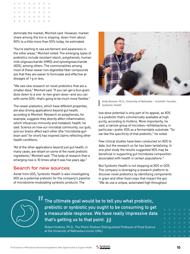<span id="page-9-0"></span>

dominate the market, Monheit said. However, market share among the trio is slipping, down from about 90% to a little more than 50% today, he estimated.

"You're starting to see excitement and awareness in the other areas," Monheit noted. The emerging types of prebiotics include resistant starch, polyphenols, human milk oligosaccharide (HMO) and xylooligosaccharide (XOS), among others. The commonalities among most of these newer non-digestible fiber compounds are that they are easier to formulate and effective at dosages of 1 g or less.

"We see new research on novel prebiotics that are a smaller dose," Monheit said. "If you can get a four-gram dose down to a one- to two-gram dose—and you can with some GOS—that's going to be much more flexible."

The newer prebiotics, which have different properties, are also driving applications beyond gut health, according to Monheit. Research on polyphenols, for example, suggests they directly affect inflammation, which influences immunity and metabolic health, he said. Science on how our microbial community, our guts, and our brains affect each other (the "microbiota-gutbrain axis" for short) has inspired claims reflecting other health conditions.

"All of the other applications beyond just gut health, in many cases, are reliant on some of the novel prebiotic ingredients," Monheit said. "The body of research that is emerging now is 10 times what it was five years ago."

#### Search for new sources

Aside from GOS, Synbiotic Health is also investigating XOS as a potential prebiotic for the company's pipeline of microbiome-modulating synbiotic products. The



Andy Benson, Ph.D., University of Nebraska – Scientific Founder, Synbiotic Health

low-dose potential is only part of its appeal, as XOS is a prebiotic that's commercially available at high purity, according to Hutkins. More importantly, he said, a narrow group of microbes—bifidobacteria, in particular—prefer XOS as a fermentable substrate. "So we like the specificity of that prebiotic," he noted.

Few clinical studies have been conducted on XOS to date, but the research so far has been tantalizing. In one pilot study the results suggested XOS may be beneficial in supporting gut microbiota composition associated with health in certain populations.<sup>14</sup>

But Synbiotic Health is not stopping at XOS or GOS. The company is leveraging a research platform to discover novel prebiotics by identifying components in grain and other food crops that impact the gut. "We do use a unique, automated high throughput



The ultimate goal would be to tell you what probiotic, prebiotic or synbiotic you ought to be consuming to get a measurable response. We have really impressive data

t**hat's getting us to that point.<br>Robert** Hutkins, Ph.D., The Khem Shahani Distingu<br>at the University of Nebraska-Lincoln (UNL) Robert Hutkins, Ph.D., The Khem Shahani Distinguished Professor of Food Science at the University of Nebraska-Lincoln (UNL)

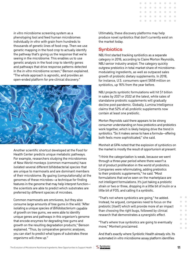<span id="page-10-0"></span>*in vitro* microbiome screening system as a phenotyping tool and feed human microbiomes individually *in vitro* with grain from hundreds to thousands of genetic lines of food crop. Then we use genetic mapping in the food crop to actually identify the pathway that's giving us the response that we're seeing in the microbiome. This enables us to use genetic analysis in the food crop to identify genes and pathways that drive response patterns detected in the *in vitro* microbiome screen," Benson explained. "The whole approach is agnostic, and provides an open-ended platform for pre-clinical discovery."



Another scientific shortcut developed at the Food for Health Center predicts unique metabolic pathways. For example, researchers studying the microbiomes of New World monkeys (common marmosets) have isolated several different bifidobacterial species that are unique to marmosets and are dominant members of their microbiome. By gazing (computationally) at the genomes of these microbes—a technique for finding features in the genome that may help interpret function the scientists are able to predict which substrates are preferred by different species of microbes.

Common marmosets are omnivores, but they also consume large amounts of tree gums in the wild. "After isolating a unique species of *Bifidobacterium* capable of growth on tree gums, we were able to identify unique genes and pathways in this organism's genome that encode enzymes for degrading tree gums and growth on the resulting degradation products," Benson explained. "Thus, by comparative genomic analyses, you can start to predict what types of substrates these organisms will chew up."

Ultimately, these discovery platforms may help produce novel synbiotics that don't currently exist on the market today.

#### **Synbiotics**

NBJ first started tracking synbiotics as a separate category in 2016, according to Claire Morton Reynolds, NBJ senior industry analyst. The category quickly outgrew prebiotics in total market share of microbiomemodulating ingredients, as well as outpaced sales growth of probiotic dietary supplements. In 2018, for instance, U.S. consumers spent \$658 million on synbiotics, up 16% from the year before.

NBJ projects synbiotic formulations will hit \$1 billion in sales by 2021 or 2022 at the latest, while sales of standalone probiotic supplements will gradually decline post-pandemic. Globally, Lumina Intelligence claims that 52% of all probiotic supplements now contain at least one prebiotic.

Morton Reynolds said there appears to be strong consumer understanding on how prebiotics and probiotics work together, which is likely helping drive the trend in synbiotics. "So it makes sense to have a formula—offering both feels more sophisticated," she said.

Monheit at GPA noted that the explosion of synbiotics on the market is mostly the result of opportunism at present.

"I think the categorization is weak, because we went through a three-year period where there wasn't a lot of product proliferation in the world of probiotics. Companies were reformulating, adding prebiotics to their probiotic supplements," he said. "Most formulations that we've seen on the marketplace are not intelligent formulations. It's just taking a probiotic strain or two or three, dropping in a little bit of inulin or a little bit of FOS, and calling it a synbiotic.

"That's not where synbiotics are going," he added. Instead, he argued, companies need to focus on the prebiotic [itself] which will provide more of an impact than choosing the right bugs, followed by clinical research that demonstrates a synergistic effect.

"That's where true synbiotics are going to eventually move," Monheit proclaimed.

And that's exactly where Synbiotic Health already sits. Its automated *in vitro* microbiome assay platform identifies

The Evolution of Microbiome Nutritional Ingredients: New Opportunities to Support Health | **11**<br>The Evolution of Microbiome Nutritional Ingredients: New Opportunities to Support Health | **11** 



 $\overline{\phantom{0}}$  $\begin{array}{c} \begin{array}{c} \begin{array}{c} \begin{array}{c} \end{array} \end{array} \end{array} \end{array} \end{array}$  $\begin{array}{c} \hline \end{array}$  $\begin{array}{c} \begin{array}{c} \begin{array}{c} \begin{array}{c} \end{array} \end{array} \end{array} \end{array} \end{array}$  $\begin{array}{c} \hline \end{array}$  $\begin{array}{c} \begin{array}{c} \begin{array}{c} \begin{array}{c} \end{array} \end{array} \end{array} \end{array} \end{array}$  $\begin{array}{c} \begin{array}{c} \begin{array}{c} \begin{array}{c} \end{array} \end{array} \end{array} \end{array} \end{array}$  $\Box$  $\blacksquare$  $\blacksquare$  $\blacksquare$  $\Box$  $\begin{array}{c} \hline \end{array}$  $\sim$  $\begin{array}{c} \hline \end{array}$  $\blacksquare$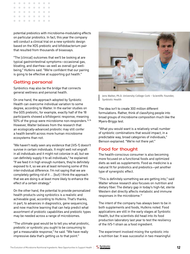<span id="page-11-0"></span>

potential prebiotics with microbiome-modulating effects on particular probiotics. In fact, this year the company will conduct a clinical trial on a new synbiotic design based on the XOS prebiotic and bifidobacterium pair that resulted from thousands of bioassays.

"The [clinical] outcomes that we'll be looking at are typical gastrointestinal symptoms—occasional gas, bloating, and diarrhea—as well as overall gut wellbeing," Hutkins said. "We're confident that our pairing is going to be effective at supporting gut health."

#### Getting personal

Synbiotics may also be the bridge that connects general wellness and personal health.

On one hand, the approach adopted by Synbiotic Health can overcome individual variation to some degree, according to Walter. In the earlier studies on the GOS prebiotic, for example, exactly half of the 18 participants showed a bifidogenic response, meaning 50% of the group were microbiome non-responders.<sup>15,16</sup> However, Walter believes from the research that an ecologically-advanced probiotic may still confer a health benefit across more human microbiome ecosystems than not.

"We haven't really seen any evidence that [iVS-1] doesn't survive in certain individuals. It might well not engraft in all individuals and it might not colonize in all, but we can definitely supply it to all individuals," he explained. "If we feed it in high enough numbers, they're definitely exposed to it, so we are at least removing some of this inter-individual difference. I'm not saying that we are completely getting rid of it … [but] I think the approach that we are doing is at least more likely to enhance the effect of a certain strategy."

On the other hand, the potential to provide personalized health products using synbiotics is a realistic and achievable goal, according to Hutkins. That's thanks, in part, to advances in diagnostics, gene sequencing, and now machine learning that can help predict what assortment of probiotic capabilities and prebiotic types may be needed across a range of microbiomes.

"The ultimate goal would be to tell you what probiotic, prebiotic or synbiotic you ought to be consuming to get a measurable response," he said. "We have really impressive data that's getting us to that point."



Jens Walter, Ph.D. University College Cork – Scientific Founder, Synbiotic Health

The idea isn't to create 300 million different formulations. Rather, think of classifying people into broad groups of microbiome composition much like the Myers-Briggs test.

"What you would want is a relatively small number of synbiotic combinations that would impact, in a predictable way, broad categories of individuals," Benson explained. "We're not there yet."

#### Food for thought

The health-conscious consumer is also becoming more focused on a functional foods and optimized diets as well as supplements. Food as medicine is a natural fit for probiotics and prebiotics—yet another type of synergistic effect.

"This is definitely something we are getting into," said Walter whose research also focuses on nutrition and dietary fiber. The dietary gap in today's high-fat, sterile Western diet directly affects metabolic and immune responses in the microbiome.<sup>17</sup>

The intent of the company has always been to be in both supplements and foods, Hutkins noted. Food applications are still in the early stages at Synbiotic Health, but the scientists did head into its food production laboratory last year to test the resiliency of the iVS-1 strain as a food ingredient.

The experiment involved mixing the synbiotic into a nutrition bar. It was successful in two meaningful

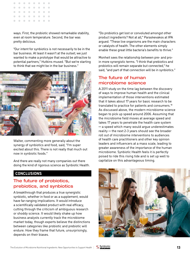<span id="page-12-0"></span>

ways. First, the probiotic showed remarkable stability, even at room temperature. Second, the bar was pretty delicious.

"Our intent for synbiotics is not necessarily to be in the bar business. At least it wasn't at the outset; we just wanted to make a prototype that would be attractive to potential partners," Hutkins mused. "But we're starting to think that we might be in the bar business."



Walter, commenting more generally about the synergy of synbiotics and food, said, "I'm super excited about this. There is not really that much out now in synbiotic foods."

And there are really not many companies out there doing the kind of rigorous science as Synbiotic Health.

#### **CONCLUSIONS**

#### The future of probiotics, prebiotics, and synbiotics

A breakthrough that produces a true synergistic synbiotic, whether in food or as a supplement, would have far-ranging implications. It would introduce a scientifically validated product with real efficacy, cutting through the criticism of ambiguous research or shoddy science. It would likely shake up how business analysts currently track the microbiome market today, though experts believe the distinctions between categories like probiotic and prebiotic will endure. How they frame that future, unsurprisingly, depends on their biases.

"Do probiotics get lost or convoluted amongst other product ingredients? Not at all," Paraskevakos at IPA argued. "These live organisms are the main characters or catalysts of health. The other elements simply enable these great little bacteria's benefits to thrive."

Monheit sees the relationship between pre- and proin more synergistic terms. "I think that prebiotics and probiotics will remain separate but connected," he said, "and part of that connection will be in synbiotics."

#### The future of human microbiome science

A 2011 study on the time lag between the discovery of ways to improve human health and the clinical implementation of those interventions estimated that it takes about 17 years for basic research to be translated to practice for patients and consumers.18 As discussed above, the modern microbiome science began to pick up speed around 2006. Assuming that the microbiome field moves at average speed and takes 17 years to penetrate the health care system ─ a speed which many would argue underestimates  $reality$   $-$  the next 2-3 years should see the broader roll out of microbiome interventions to audiences of health care practitioners and other key opinion leaders and influencers at a mass scale, leading to greater awareness of the importance of the human microbiome. Synbiotic Health feels it is perfectly poised to ride this rising tide and is set up well to capitalize on this advantageous timing.